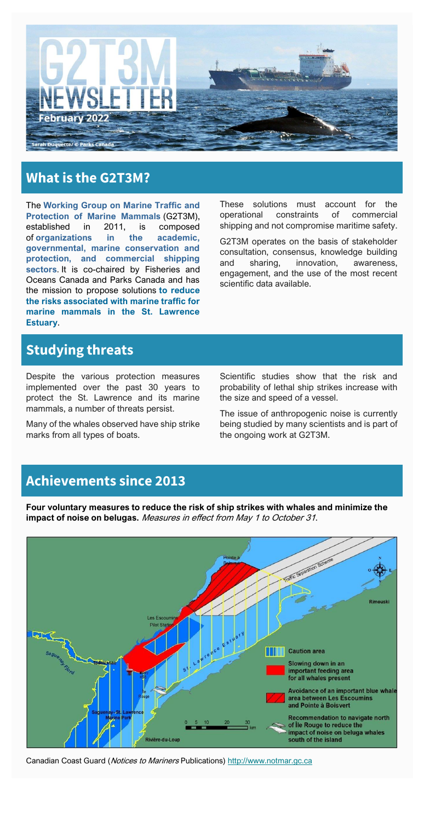

# **What is the G2T3M?**

The **Working Group on Marine Traffic and Protection of Marine Mammals** (G2T3M), established in 2011, is composed of **organizations in the academic, governmental, marine conservation and protection, and commercial shipping sectors**. It is co-chaired by Fisheries and Oceans Canada and Parks Canada and has the mission to propose solutions **to reduce the risks associated with marine traffic for marine mammals in the St. Lawrence Estuary**.

These solutions must account for the operational constraints of commercial shipping and not compromise maritime safety.

G2T3M operates on the basis of stakeholder consultation, consensus, knowledge building and sharing, innovation, awareness, engagement, and the use of the most recent scientific data available.

## **Studying threats**

Despite the various protection measures implemented over the past 30 years to protect the St. Lawrence and its marine mammals, a number of threats persist.

Many of the whales observed have ship strike marks from all types of boats.

Scientific studies show that the risk and probability of lethal ship strikes increase with the size and speed of a vessel.

The issue of anthropogenic noise is currently being studied by many scientists and is part of the ongoing work at G2T3M.

### **Achievements since 2013**

**Four voluntary measures to reduce the risk of ship strikes with whales and minimize the impact of noise on belugas.** Measures in effect from May 1 to October 31.



Canadian Coast Guard (Notices to Mariners Publications) [http://www.notmar.gc.ca](http://www.notmar.gc.ca/)